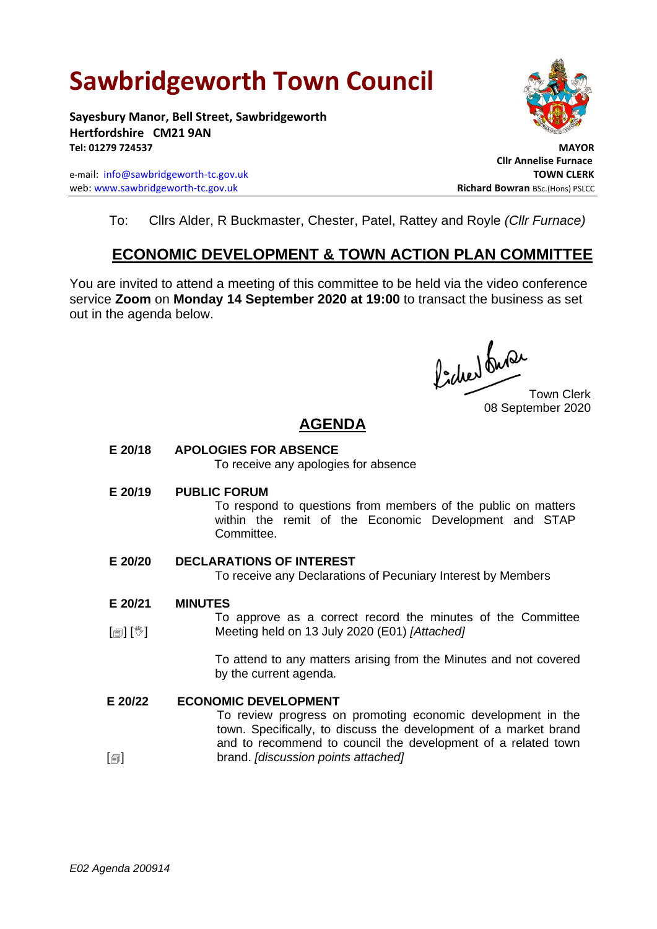# **Sawbridgeworth Town Council**

**Sayesbury Manor, Bell Street, Sawbridgeworth Hertfordshire CM21 9AN Tel: 01279 724537 MAYOR**

e-mail: [info@sawbridgeworth-tc.gov.uk](mailto:info@sawbridgeworth-tc.gov.uk) **TOWN CLERK** web: www.sawbridgeworth-tc.gov.uk<br> **Richard Bowran** BSc.(Hons) PSLCC



 **Cllr Annelise Furnace**

To: Cllrs Alder, R Buckmaster, Chester, Patel, Rattey and Royle *(Cllr Furnace)*

## **ECONOMIC DEVELOPMENT & TOWN ACTION PLAN COMMITTEE**

You are invited to attend a meeting of this committee to be held via the video conference service **Zoom** on **Monday 14 September 2020 at 19:00** to transact the business as set out in the agenda below.

fideer fuse

Town Clerk 08 September 2020

# **AGENDA**

**E 20/18 APOLOGIES FOR ABSENCE**

To receive any apologies for absence

**E 20/19 PUBLIC FORUM**

To respond to questions from members of the public on matters within the remit of the Economic Development and STAP Committee.

### **E 20/20 DECLARATIONS OF INTEREST**

To receive any Declarations of Pecuniary Interest by Members

- **E 20/21 MINUTES**
- [1] [<sup>1</sup>] To approve as a correct record the minutes of the Committee Meeting held on 13 July 2020 (E01) *[Attached]*

To attend to any matters arising from the Minutes and not covered by the current agenda.

#### **E 20/22 ECONOMIC DEVELOPMENT**

To review progress on promoting economic development in the town. Specifically, to discuss the development of a market brand and to recommend to council the development of a related town brand. *[discussion points attached]*

 $\mathsf{I}$